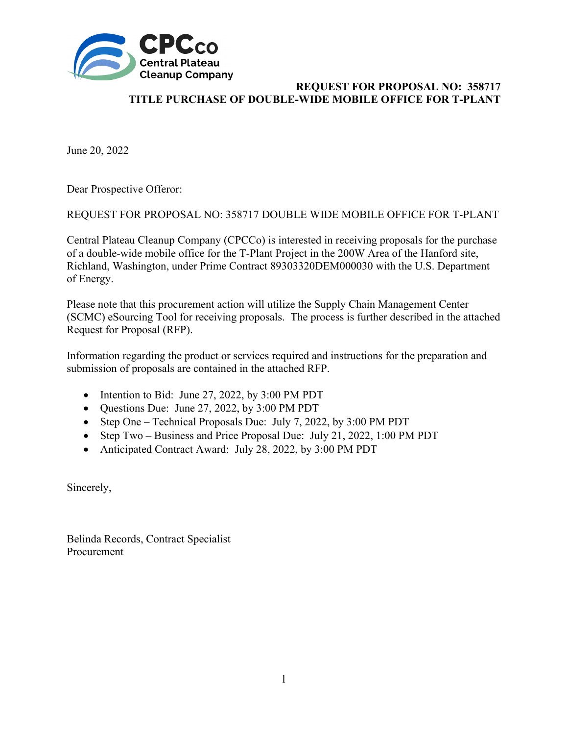

June 20, 2022

Dear Prospective Offeror:

REQUEST FOR PROPOSAL NO: 358717 DOUBLE WIDE MOBILE OFFICE FOR T-PLANT

Central Plateau Cleanup Company (CPCCo) is interested in receiving proposals for the purchase of a double-wide mobile office for the T-Plant Project in the 200W Area of the Hanford site, Richland, Washington, under Prime Contract 89303320DEM000030 with the U.S. Department of Energy.

Please note that this procurement action will utilize the Supply Chain Management Center (SCMC) eSourcing Tool for receiving proposals. The process is further described in the attached Request for Proposal (RFP).

Information regarding the product or services required and instructions for the preparation and submission of proposals are contained in the attached RFP.

- Intention to Bid: June 27, 2022, by 3:00 PM PDT
- Questions Due: June 27, 2022, by 3:00 PM PDT
- Step One Technical Proposals Due: July 7, 2022, by 3:00 PM PDT
- Step Two Business and Price Proposal Due: July 21, 2022, 1:00 PM PDT
- Anticipated Contract Award: July 28, 2022, by 3:00 PM PDT

Sincerely,

Belinda Records, Contract Specialist Procurement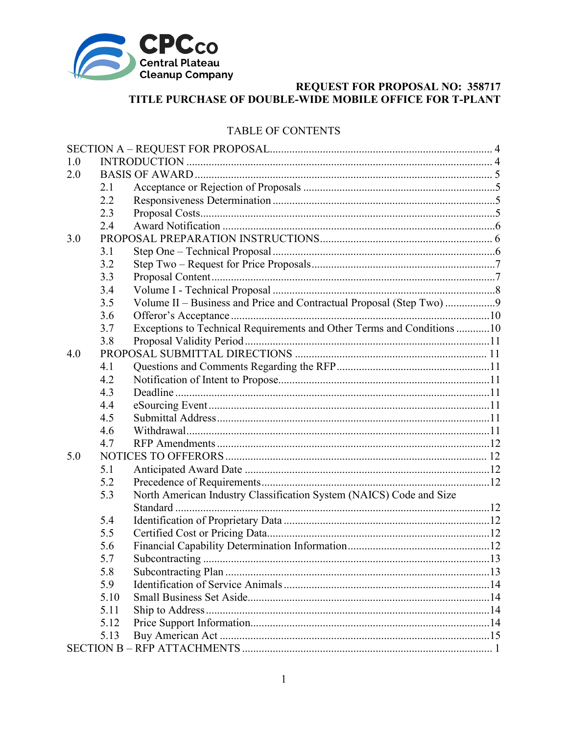

## TABLE OF CONTENTS

| 1.0 |      |                                                                        |  |
|-----|------|------------------------------------------------------------------------|--|
| 2.0 |      |                                                                        |  |
|     | 2.1  |                                                                        |  |
|     | 2.2  |                                                                        |  |
|     | 2.3  |                                                                        |  |
|     | 2.4  |                                                                        |  |
| 3.0 |      |                                                                        |  |
|     | 3.1  |                                                                        |  |
|     | 3.2  |                                                                        |  |
|     | 3.3  |                                                                        |  |
|     | 3.4  |                                                                        |  |
|     | 3.5  | Volume II – Business and Price and Contractual Proposal (Step Two)     |  |
|     | 3.6  |                                                                        |  |
|     | 3.7  | Exceptions to Technical Requirements and Other Terms and Conditions 10 |  |
|     | 3.8  |                                                                        |  |
| 4.0 |      |                                                                        |  |
|     | 4.1  |                                                                        |  |
|     | 4.2  |                                                                        |  |
|     | 4.3  |                                                                        |  |
|     | 4.4  |                                                                        |  |
|     | 4.5  |                                                                        |  |
|     | 4.6  |                                                                        |  |
|     | 4.7  |                                                                        |  |
| 5.0 |      |                                                                        |  |
|     | 5.1  |                                                                        |  |
|     | 5.2  |                                                                        |  |
|     | 5.3  | North American Industry Classification System (NAICS) Code and Size    |  |
|     |      |                                                                        |  |
|     | 5.4  |                                                                        |  |
|     | 5.5  |                                                                        |  |
|     | 5.6  |                                                                        |  |
|     | 5.7  |                                                                        |  |
|     | 5.8  |                                                                        |  |
|     | 5.9  |                                                                        |  |
|     | 5.10 |                                                                        |  |
|     | 5.11 |                                                                        |  |
|     | 5.12 |                                                                        |  |
|     | 5.13 |                                                                        |  |
|     |      |                                                                        |  |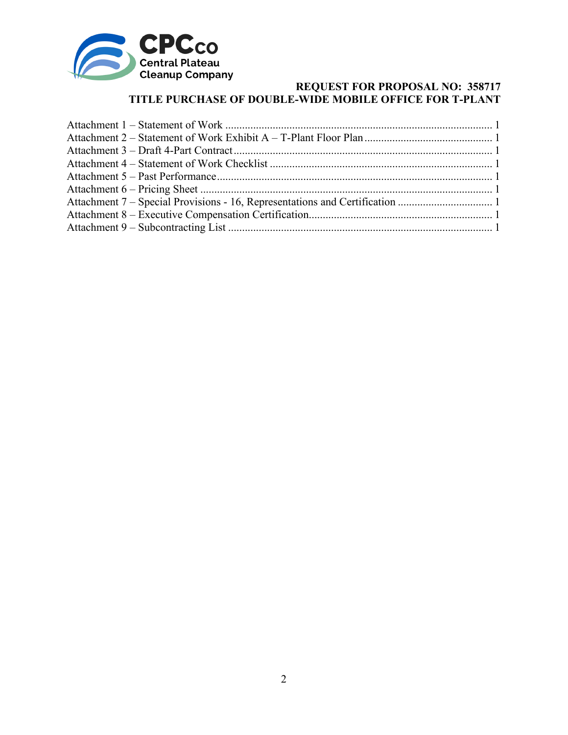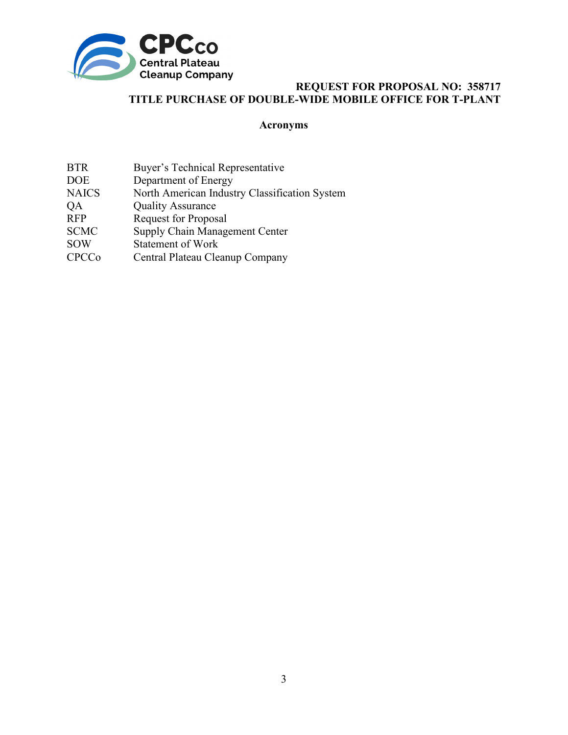

# **Acronyms**

| <b>BTR</b><br><b>DOE</b> | Buyer's Technical Representative<br>Department of Energy |
|--------------------------|----------------------------------------------------------|
| <b>NAICS</b>             | North American Industry Classification System            |
| QA                       | <b>Quality Assurance</b>                                 |
| <b>RFP</b>               | <b>Request for Proposal</b>                              |
| <b>SCMC</b>              | Supply Chain Management Center                           |
| <b>SOW</b>               | <b>Statement of Work</b>                                 |
| <b>CPCCo</b>             | Central Plateau Cleanup Company                          |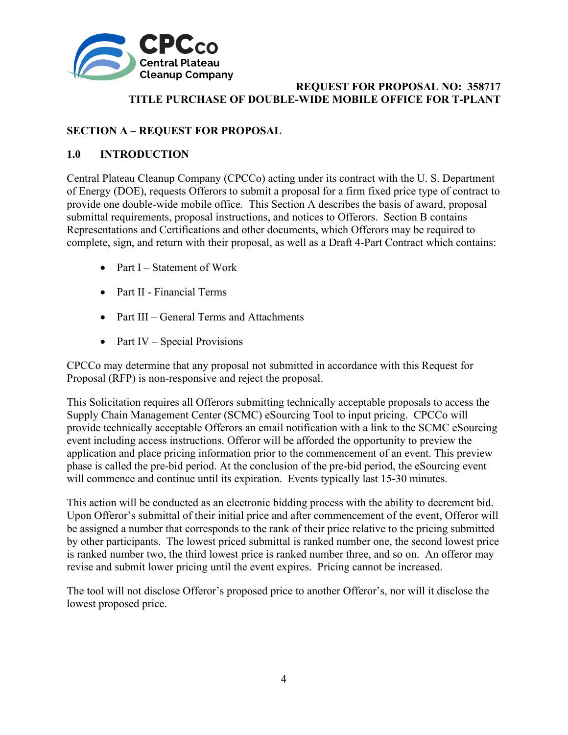

# <span id="page-4-0"></span>**SECTION A – REQUEST FOR PROPOSAL**

# <span id="page-4-1"></span>**1.0 INTRODUCTION**

Central Plateau Cleanup Company (CPCCo) acting under its contract with the U. S. Department of Energy (DOE), requests Offerors to submit a proposal for a firm fixed price type of contract to provide one double-wide mobile office*.* This Section A describes the basis of award, proposal submittal requirements, proposal instructions, and notices to Offerors. Section B contains Representations and Certifications and other documents, which Offerors may be required to complete, sign, and return with their proposal, as well as a Draft 4-Part Contract which contains:

- Part  $I -$  Statement of Work
- Part II Financial Terms
- Part III General Terms and Attachments
- Part IV Special Provisions

CPCCo may determine that any proposal not submitted in accordance with this Request for Proposal (RFP) is non-responsive and reject the proposal.

This Solicitation requires all Offerors submitting technically acceptable proposals to access the Supply Chain Management Center (SCMC) eSourcing Tool to input pricing. CPCCo will provide technically acceptable Offerors an email notification with a link to the SCMC eSourcing event including access instructions. Offeror will be afforded the opportunity to preview the application and place pricing information prior to the commencement of an event. This preview phase is called the pre-bid period. At the conclusion of the pre-bid period, the eSourcing event will commence and continue until its expiration. Events typically last 15-30 minutes.

This action will be conducted as an electronic bidding process with the ability to decrement bid. Upon Offeror's submittal of their initial price and after commencement of the event, Offeror will be assigned a number that corresponds to the rank of their price relative to the pricing submitted by other participants. The lowest priced submittal is ranked number one, the second lowest price is ranked number two, the third lowest price is ranked number three, and so on. An offeror may revise and submit lower pricing until the event expires. Pricing cannot be increased.

The tool will not disclose Offeror's proposed price to another Offeror's, nor will it disclose the lowest proposed price.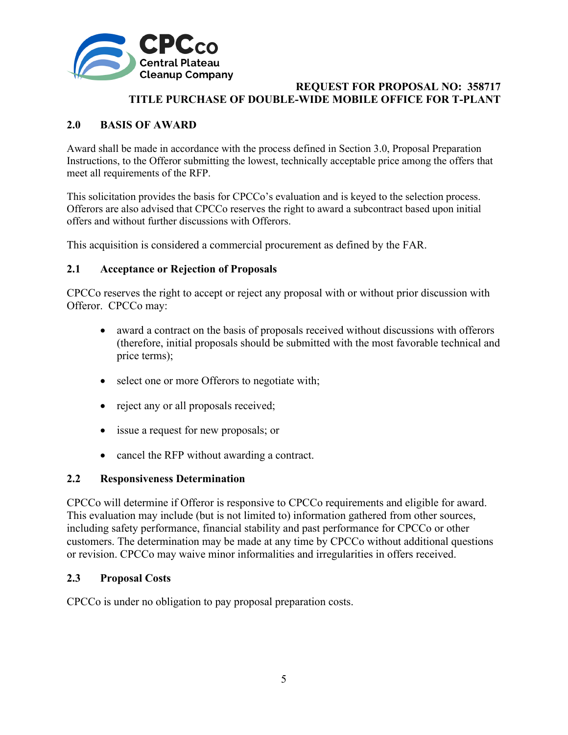

# <span id="page-5-0"></span>**2.0 BASIS OF AWARD**

Award shall be made in accordance with the process defined in Section 3.0, Proposal Preparation Instructions, to the Offeror submitting the lowest, technically acceptable price among the offers that meet all requirements of the RFP.

This solicitation provides the basis for CPCCo's evaluation and is keyed to the selection process. Offerors are also advised that CPCCo reserves the right to award a subcontract based upon initial offers and without further discussions with Offerors.

This acquisition is considered a commercial procurement as defined by the FAR.

## <span id="page-5-1"></span>**2.1 Acceptance or Rejection of Proposals**

CPCCo reserves the right to accept or reject any proposal with or without prior discussion with Offeror. CPCCo may:

- award a contract on the basis of proposals received without discussions with offerors (therefore, initial proposals should be submitted with the most favorable technical and price terms);
- select one or more Offerors to negotiate with;
- reject any or all proposals received;
- issue a request for new proposals; or
- cancel the RFP without awarding a contract.

#### <span id="page-5-2"></span>**2.2 Responsiveness Determination**

CPCCo will determine if Offeror is responsive to CPCCo requirements and eligible for award. This evaluation may include (but is not limited to) information gathered from other sources, including safety performance, financial stability and past performance for CPCCo or other customers. The determination may be made at any time by CPCCo without additional questions or revision. CPCCo may waive minor informalities and irregularities in offers received.

#### <span id="page-5-3"></span>**2.3 Proposal Costs**

CPCCo is under no obligation to pay proposal preparation costs.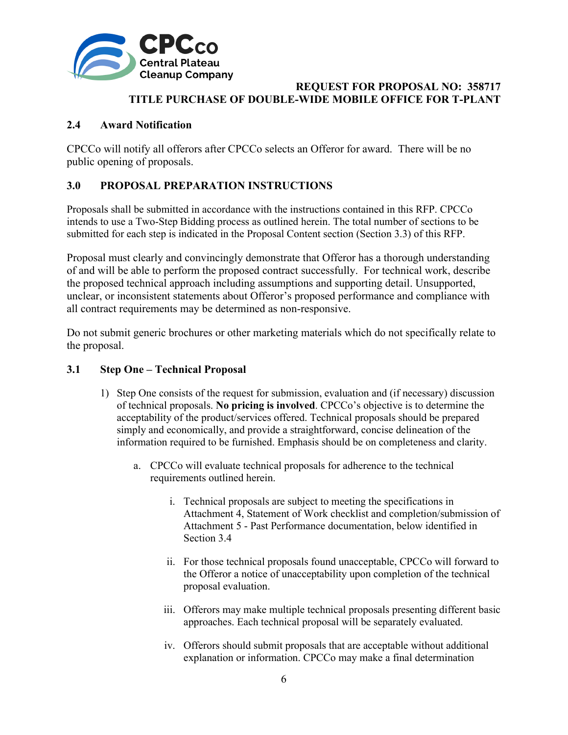

# <span id="page-6-0"></span>**2.4 Award Notification**

CPCCo will notify all offerors after CPCCo selects an Offeror for award. There will be no public opening of proposals.

# <span id="page-6-1"></span>**3.0 PROPOSAL PREPARATION INSTRUCTIONS**

Proposals shall be submitted in accordance with the instructions contained in this RFP. CPCCo intends to use a Two-Step Bidding process as outlined herein. The total number of sections to be submitted for each step is indicated in the Proposal Content section (Section 3.3) of this RFP.

Proposal must clearly and convincingly demonstrate that Offeror has a thorough understanding of and will be able to perform the proposed contract successfully. For technical work, describe the proposed technical approach including assumptions and supporting detail. Unsupported, unclear, or inconsistent statements about Offeror's proposed performance and compliance with all contract requirements may be determined as non-responsive.

Do not submit generic brochures or other marketing materials which do not specifically relate to the proposal.

## <span id="page-6-2"></span>**3.1 Step One – Technical Proposal**

- 1) Step One consists of the request for submission, evaluation and (if necessary) discussion of technical proposals. **No pricing is involved**. CPCCo's objective is to determine the acceptability of the product/services offered. Technical proposals should be prepared simply and economically, and provide a straightforward, concise delineation of the information required to be furnished. Emphasis should be on completeness and clarity.
	- a. CPCCo will evaluate technical proposals for adherence to the technical requirements outlined herein.
		- i. Technical proposals are subject to meeting the specifications in Attachment 4, Statement of Work checklist and completion/submission of Attachment 5 - Past Performance documentation, below identified in Section 3.4
		- ii. For those technical proposals found unacceptable, CPCCo will forward to the Offeror a notice of unacceptability upon completion of the technical proposal evaluation.
		- iii. Offerors may make multiple technical proposals presenting different basic approaches. Each technical proposal will be separately evaluated.
		- iv. Offerors should submit proposals that are acceptable without additional explanation or information. CPCCo may make a final determination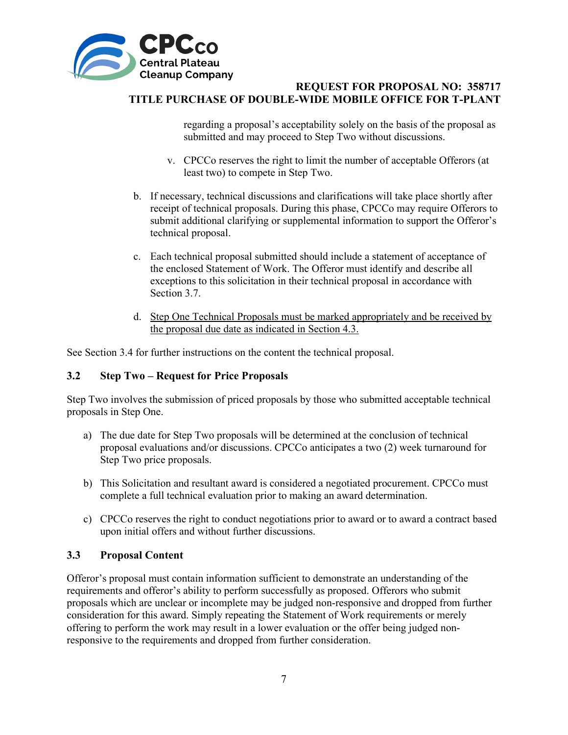

regarding a proposal's acceptability solely on the basis of the proposal as submitted and may proceed to Step Two without discussions.

- v. CPCCo reserves the right to limit the number of acceptable Offerors (at least two) to compete in Step Two.
- b. If necessary, technical discussions and clarifications will take place shortly after receipt of technical proposals. During this phase, CPCCo may require Offerors to submit additional clarifying or supplemental information to support the Offeror's technical proposal.
- c. Each technical proposal submitted should include a statement of acceptance of the enclosed Statement of Work. The Offeror must identify and describe all exceptions to this solicitation in their technical proposal in accordance with Section 3.7.
- d. Step One Technical Proposals must be marked appropriately and be received by the proposal due date as indicated in Section 4.3.

See Section 3.4 for further instructions on the content the technical proposal.

#### <span id="page-7-0"></span>**3.2 Step Two – Request for Price Proposals**

Step Two involves the submission of priced proposals by those who submitted acceptable technical proposals in Step One.

- a) The due date for Step Two proposals will be determined at the conclusion of technical proposal evaluations and/or discussions. CPCCo anticipates a two (2) week turnaround for Step Two price proposals.
- b) This Solicitation and resultant award is considered a negotiated procurement. CPCCo must complete a full technical evaluation prior to making an award determination.
- c) CPCCo reserves the right to conduct negotiations prior to award or to award a contract based upon initial offers and without further discussions.

#### <span id="page-7-1"></span>**3.3 Proposal Content**

Offeror's proposal must contain information sufficient to demonstrate an understanding of the requirements and offeror's ability to perform successfully as proposed. Offerors who submit proposals which are unclear or incomplete may be judged non-responsive and dropped from further consideration for this award. Simply repeating the Statement of Work requirements or merely offering to perform the work may result in a lower evaluation or the offer being judged nonresponsive to the requirements and dropped from further consideration.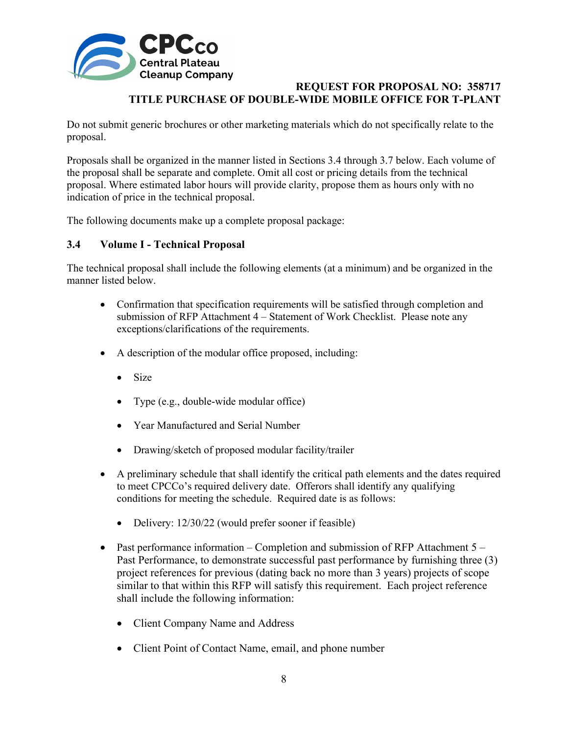

Do not submit generic brochures or other marketing materials which do not specifically relate to the proposal.

Proposals shall be organized in the manner listed in Sections 3.4 through 3.7 below. Each volume of the proposal shall be separate and complete. Omit all cost or pricing details from the technical proposal. Where estimated labor hours will provide clarity, propose them as hours only with no indication of price in the technical proposal.

The following documents make up a complete proposal package:

#### <span id="page-8-0"></span>**3.4 Volume I - Technical Proposal**

The technical proposal shall include the following elements (at a minimum) and be organized in the manner listed below.

- Confirmation that specification requirements will be satisfied through completion and submission of RFP Attachment 4 – Statement of Work Checklist. Please note any exceptions/clarifications of the requirements.
- A description of the modular office proposed, including:
	- Size
	- Type (e.g., double-wide modular office)
	- Year Manufactured and Serial Number
	- Drawing/sketch of proposed modular facility/trailer
- A preliminary schedule that shall identify the critical path elements and the dates required to meet CPCCo's required delivery date. Offerors shall identify any qualifying conditions for meeting the schedule. Required date is as follows:
	- Delivery: 12/30/22 (would prefer sooner if feasible)
- Past performance information Completion and submission of RFP Attachment 5 Past Performance, to demonstrate successful past performance by furnishing three (3) project references for previous (dating back no more than 3 years) projects of scope similar to that within this RFP will satisfy this requirement. Each project reference shall include the following information:
	- Client Company Name and Address
	- Client Point of Contact Name, email, and phone number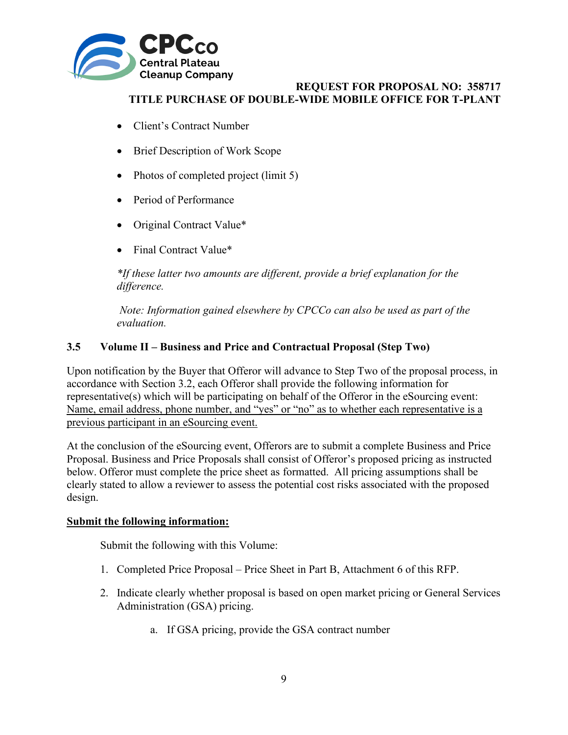

- Client's Contract Number
- Brief Description of Work Scope
- Photos of completed project (limit 5)
- Period of Performance
- Original Contract Value\*
- Final Contract Value\*

*\*If these latter two amounts are different, provide a brief explanation for the difference.*

 *Note: Information gained elsewhere by CPCCo can also be used as part of the evaluation.* 

# <span id="page-9-0"></span>**3.5 Volume II – Business and Price and Contractual Proposal (Step Two)**

Upon notification by the Buyer that Offeror will advance to Step Two of the proposal process, in accordance with Section 3.2, each Offeror shall provide the following information for representative(s) which will be participating on behalf of the Offeror in the eSourcing event: Name, email address, phone number, and "yes" or "no" as to whether each representative is a previous participant in an eSourcing event.

At the conclusion of the eSourcing event, Offerors are to submit a complete Business and Price Proposal. Business and Price Proposals shall consist of Offeror's proposed pricing as instructed below. Offeror must complete the price sheet as formatted. All pricing assumptions shall be clearly stated to allow a reviewer to assess the potential cost risks associated with the proposed design.

## **Submit the following information:**

Submit the following with this Volume:

- 1. Completed Price Proposal Price Sheet in Part B, Attachment 6 of this RFP.
- 2. Indicate clearly whether proposal is based on open market pricing or General Services Administration (GSA) pricing.
	- a. If GSA pricing, provide the GSA contract number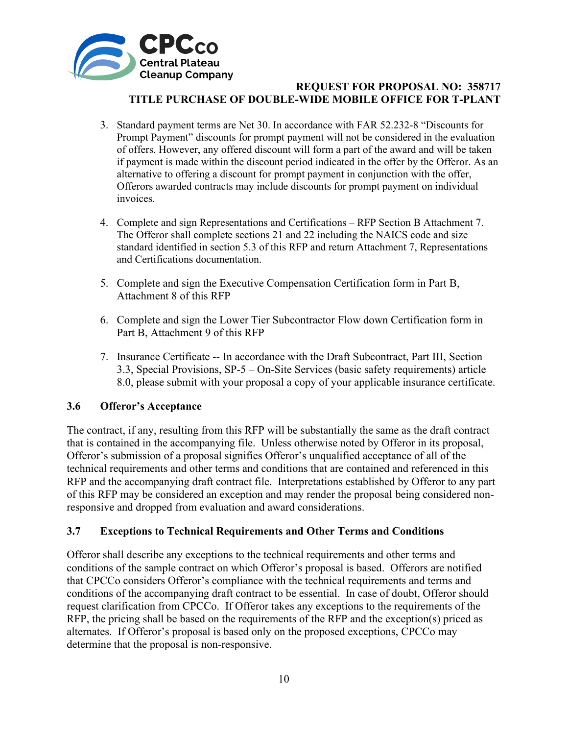

- 3. Standard payment terms are Net 30. In accordance with FAR 52.232-8 "Discounts for Prompt Payment" discounts for prompt payment will not be considered in the evaluation of offers. However, any offered discount will form a part of the award and will be taken if payment is made within the discount period indicated in the offer by the Offeror. As an alternative to offering a discount for prompt payment in conjunction with the offer, Offerors awarded contracts may include discounts for prompt payment on individual invoices.
- 4. Complete and sign Representations and Certifications RFP Section B Attachment 7. The Offeror shall complete sections 21 and 22 including the NAICS code and size standard identified in section 5.3 of this RFP and return Attachment 7, Representations and Certifications documentation.
- 5. Complete and sign the Executive Compensation Certification form in Part B, Attachment 8 of this RFP
- 6. Complete and sign the Lower Tier Subcontractor Flow down Certification form in Part B, Attachment 9 of this RFP
- 7. Insurance Certificate -- In accordance with the Draft Subcontract, Part III, Section 3.3, Special Provisions, SP-5 – On-Site Services (basic safety requirements) article 8.0, please submit with your proposal a copy of your applicable insurance certificate.

## <span id="page-10-0"></span>**3.6 Offeror's Acceptance**

The contract, if any, resulting from this RFP will be substantially the same as the draft contract that is contained in the accompanying file. Unless otherwise noted by Offeror in its proposal, Offeror's submission of a proposal signifies Offeror's unqualified acceptance of all of the technical requirements and other terms and conditions that are contained and referenced in this RFP and the accompanying draft contract file. Interpretations established by Offeror to any part of this RFP may be considered an exception and may render the proposal being considered nonresponsive and dropped from evaluation and award considerations.

## <span id="page-10-1"></span>**3.7 Exceptions to Technical Requirements and Other Terms and Conditions**

Offeror shall describe any exceptions to the technical requirements and other terms and conditions of the sample contract on which Offeror's proposal is based. Offerors are notified that CPCCo considers Offeror's compliance with the technical requirements and terms and conditions of the accompanying draft contract to be essential. In case of doubt, Offeror should request clarification from CPCCo. If Offeror takes any exceptions to the requirements of the RFP, the pricing shall be based on the requirements of the RFP and the exception(s) priced as alternates. If Offeror's proposal is based only on the proposed exceptions, CPCCo may determine that the proposal is non-responsive.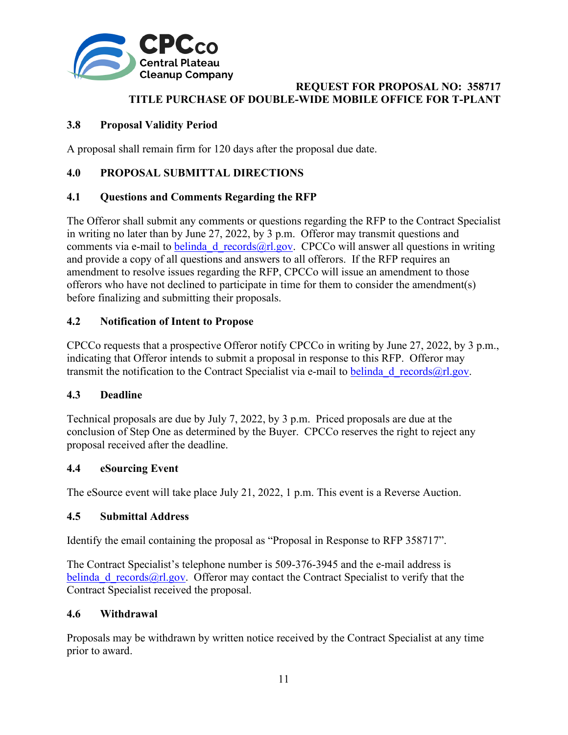

# <span id="page-11-0"></span>**3.8 Proposal Validity Period**

A proposal shall remain firm for 120 days after the proposal due date.

## <span id="page-11-1"></span>**4.0 PROPOSAL SUBMITTAL DIRECTIONS**

## <span id="page-11-2"></span>**4.1 Questions and Comments Regarding the RFP**

The Offeror shall submit any comments or questions regarding the RFP to the Contract Specialist in writing no later than by June 27, 2022, by 3 p.m. Offeror may transmit questions and comments via e-mail to belinda d records@rl.gov. CPCCo will answer all questions in writing and provide a copy of all questions and answers to all offerors. If the RFP requires an amendment to resolve issues regarding the RFP, CPCCo will issue an amendment to those offerors who have not declined to participate in time for them to consider the amendment(s) before finalizing and submitting their proposals.

## <span id="page-11-3"></span>**4.2 Notification of Intent to Propose**

CPCCo requests that a prospective Offeror notify CPCCo in writing by June 27, 2022, by 3 p.m., indicating that Offeror intends to submit a proposal in response to this RFP. Offeror may transmit the notification to the Contract Specialist via e-mail to belinda d records@rl.gov.

#### <span id="page-11-4"></span>**4.3 Deadline**

Technical proposals are due by July 7, 2022, by 3 p.m. Priced proposals are due at the conclusion of Step One as determined by the Buyer. CPCCo reserves the right to reject any proposal received after the deadline.

#### <span id="page-11-5"></span>**4.4 eSourcing Event**

The eSource event will take place July 21, 2022, 1 p.m. This event is a Reverse Auction.

#### <span id="page-11-6"></span>**4.5 Submittal Address**

Identify the email containing the proposal as "Proposal in Response to RFP 358717".

The Contract Specialist's telephone number is 509-376-3945 and the e-mail address is belinda d records@rl.gov. Offeror may contact the Contract Specialist to verify that the Contract Specialist received the proposal.

#### <span id="page-11-7"></span>**4.6 Withdrawal**

Proposals may be withdrawn by written notice received by the Contract Specialist at any time prior to award.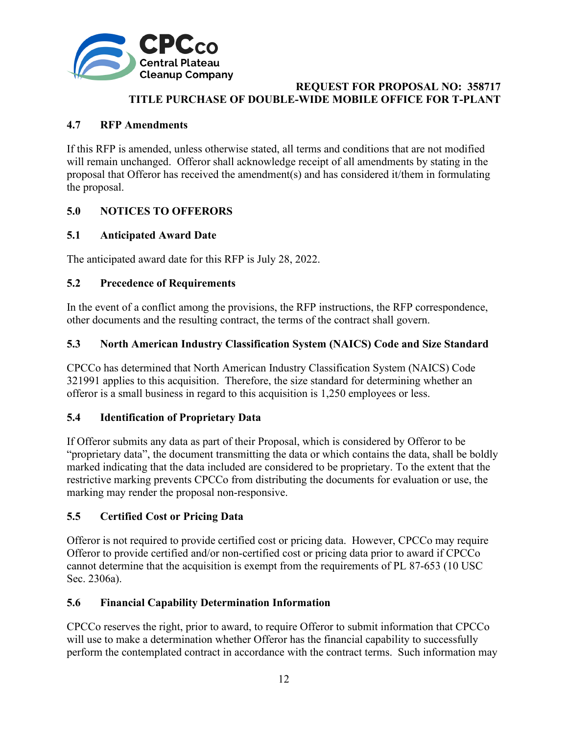

# <span id="page-12-0"></span>**4.7 RFP Amendments**

If this RFP is amended, unless otherwise stated, all terms and conditions that are not modified will remain unchanged. Offeror shall acknowledge receipt of all amendments by stating in the proposal that Offeror has received the amendment(s) and has considered it/them in formulating the proposal.

# <span id="page-12-1"></span>**5.0 NOTICES TO OFFERORS**

# <span id="page-12-2"></span>**5.1 Anticipated Award Date**

The anticipated award date for this RFP is July 28, 2022.

# <span id="page-12-3"></span>**5.2 Precedence of Requirements**

In the event of a conflict among the provisions, the RFP instructions, the RFP correspondence, other documents and the resulting contract, the terms of the contract shall govern.

## <span id="page-12-4"></span>**5.3 North American Industry Classification System (NAICS) Code and Size Standard**

CPCCo has determined that North American Industry Classification System (NAICS) Code 321991 applies to this acquisition. Therefore, the size standard for determining whether an offeror is a small business in regard to this acquisition is 1,250 employees or less.

## <span id="page-12-5"></span>**5.4 Identification of Proprietary Data**

If Offeror submits any data as part of their Proposal, which is considered by Offeror to be "proprietary data", the document transmitting the data or which contains the data, shall be boldly marked indicating that the data included are considered to be proprietary. To the extent that the restrictive marking prevents CPCCo from distributing the documents for evaluation or use, the marking may render the proposal non-responsive.

## <span id="page-12-6"></span>**5.5 Certified Cost or Pricing Data**

Offeror is not required to provide certified cost or pricing data. However, CPCCo may require Offeror to provide certified and/or non-certified cost or pricing data prior to award if CPCCo cannot determine that the acquisition is exempt from the requirements of PL 87-653 (10 USC Sec. 2306a).

## <span id="page-12-7"></span>**5.6 Financial Capability Determination Information**

CPCCo reserves the right, prior to award, to require Offeror to submit information that CPCCo will use to make a determination whether Offeror has the financial capability to successfully perform the contemplated contract in accordance with the contract terms. Such information may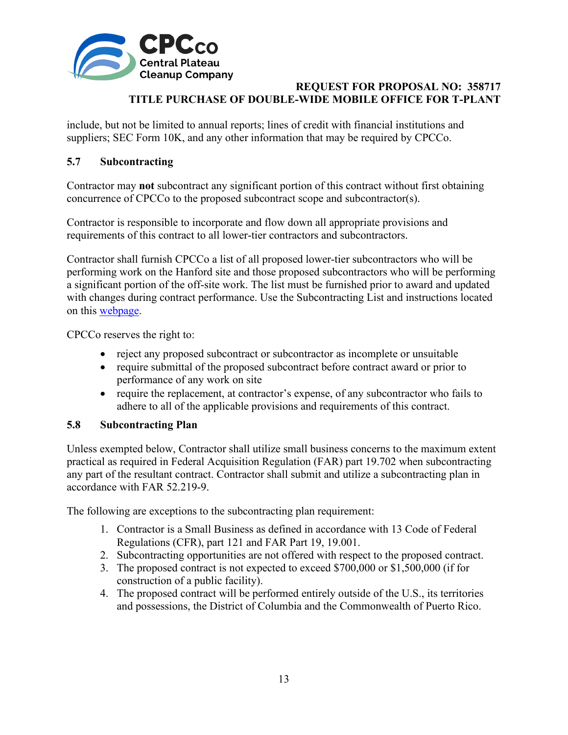

include, but not be limited to annual reports; lines of credit with financial institutions and suppliers; SEC Form 10K, and any other information that may be required by CPCCo.

# <span id="page-13-0"></span>**5.7 Subcontracting**

Contractor may **not** subcontract any significant portion of this contract without first obtaining concurrence of CPCCo to the proposed subcontract scope and subcontractor(s).

Contractor is responsible to incorporate and flow down all appropriate provisions and requirements of this contract to all lower-tier contractors and subcontractors.

Contractor shall furnish CPCCo a list of all proposed lower-tier subcontractors who will be performing work on the Hanford site and those proposed subcontractors who will be performing a significant portion of the off-site work. The list must be furnished prior to award and updated with changes during contract performance. Use the Subcontracting List and instructions located on this [webpage.](https://cpcco.hanford.gov/page.cfm/SubmittalsFormsDocs)

CPCCo reserves the right to:

- reject any proposed subcontract or subcontractor as incomplete or unsuitable
- require submittal of the proposed subcontract before contract award or prior to performance of any work on site
- require the replacement, at contractor's expense, of any subcontractor who fails to adhere to all of the applicable provisions and requirements of this contract.

## <span id="page-13-1"></span>**5.8 Subcontracting Plan**

Unless exempted below, Contractor shall utilize small business concerns to the maximum extent practical as required in Federal Acquisition Regulation (FAR) part 19.702 when subcontracting any part of the resultant contract. Contractor shall submit and utilize a subcontracting plan in accordance with FAR 52.219-9.

The following are exceptions to the subcontracting plan requirement:

- 1. Contractor is a Small Business as defined in accordance with 13 Code of Federal Regulations (CFR), part 121 and FAR Part 19, 19.001.
- 2. Subcontracting opportunities are not offered with respect to the proposed contract.
- 3. The proposed contract is not expected to exceed \$700,000 or \$1,500,000 (if for construction of a public facility).
- 4. The proposed contract will be performed entirely outside of the U.S., its territories and possessions, the District of Columbia and the Commonwealth of Puerto Rico.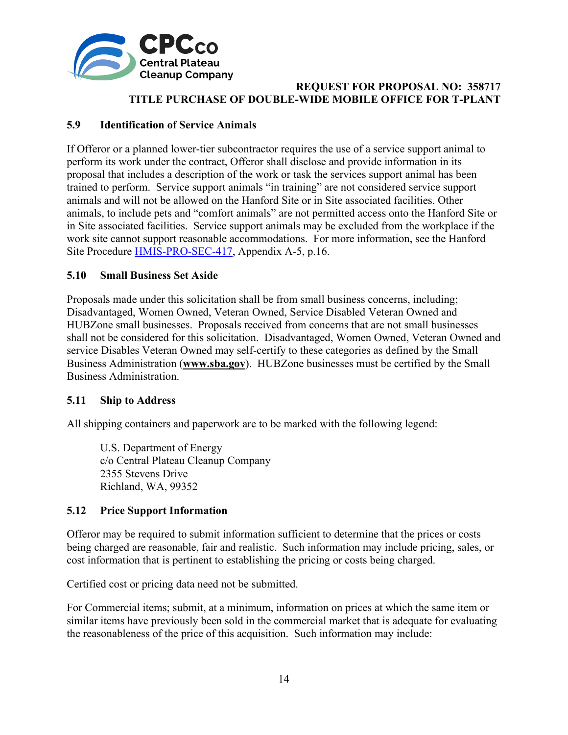

## <span id="page-14-0"></span>**5.9 Identification of Service Animals**

If Offeror or a planned lower-tier subcontractor requires the use of a service support animal to perform its work under the contract, Offeror shall disclose and provide information in its proposal that includes a description of the work or task the services support animal has been trained to perform. Service support animals "in training" are not considered service support animals and will not be allowed on the Hanford Site or in Site associated facilities. Other animals, to include pets and "comfort animals" are not permitted access onto the Hanford Site or in Site associated facilities. Service support animals may be excluded from the workplace if the work site cannot support reasonable accommodations. For more information, see the Hanford Site Procedure [HMIS-PRO-SEC-417,](https://cpcco.hanford.gov/page.cfm/SafetyReferenceDocuments) Appendix A-5, p.16.

## <span id="page-14-1"></span>**5.10 Small Business Set Aside**

Proposals made under this solicitation shall be from small business concerns, including; Disadvantaged, Women Owned, Veteran Owned, Service Disabled Veteran Owned and HUBZone small businesses. Proposals received from concerns that are not small businesses shall not be considered for this solicitation. Disadvantaged, Women Owned, Veteran Owned and service Disables Veteran Owned may self-certify to these categories as defined by the Small Business Administration (**[www.sba.gov](http://www.sba.gov/)**). HUBZone businesses must be certified by the Small Business Administration.

## <span id="page-14-2"></span>**5.11 Ship to Address**

All shipping containers and paperwork are to be marked with the following legend:

U.S. Department of Energy c/o Central Plateau Cleanup Company 2355 Stevens Drive Richland, WA, 99352

## <span id="page-14-3"></span>**5.12 Price Support Information**

Offeror may be required to submit information sufficient to determine that the prices or costs being charged are reasonable, fair and realistic. Such information may include pricing, sales, or cost information that is pertinent to establishing the pricing or costs being charged.

Certified cost or pricing data need not be submitted.

For Commercial items; submit, at a minimum, information on prices at which the same item or similar items have previously been sold in the commercial market that is adequate for evaluating the reasonableness of the price of this acquisition. Such information may include: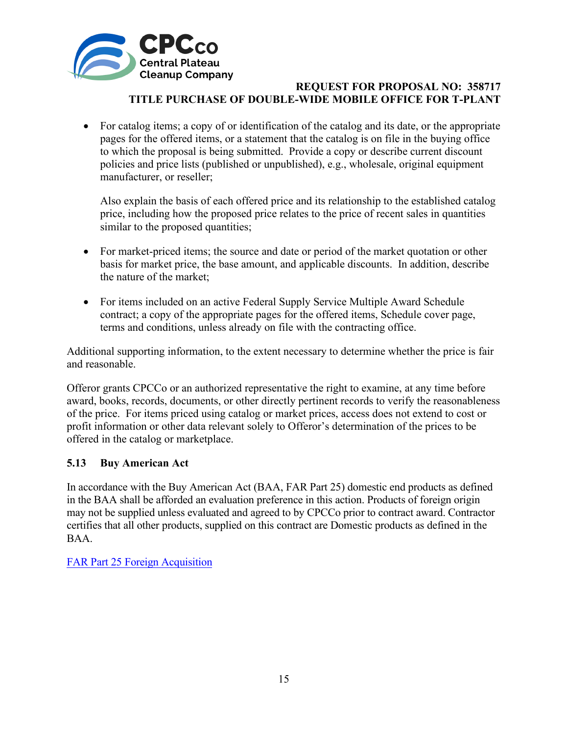

• For catalog items; a copy of or identification of the catalog and its date, or the appropriate pages for the offered items, or a statement that the catalog is on file in the buying office to which the proposal is being submitted. Provide a copy or describe current discount policies and price lists (published or unpublished), e.g., wholesale, original equipment manufacturer, or reseller;

Also explain the basis of each offered price and its relationship to the established catalog price, including how the proposed price relates to the price of recent sales in quantities similar to the proposed quantities;

- For market-priced items; the source and date or period of the market quotation or other basis for market price, the base amount, and applicable discounts. In addition, describe the nature of the market;
- For items included on an active Federal Supply Service Multiple Award Schedule contract; a copy of the appropriate pages for the offered items, Schedule cover page, terms and conditions, unless already on file with the contracting office.

Additional supporting information, to the extent necessary to determine whether the price is fair and reasonable.

Offeror grants CPCCo or an authorized representative the right to examine, at any time before award, books, records, documents, or other directly pertinent records to verify the reasonableness of the price. For items priced using catalog or market prices, access does not extend to cost or profit information or other data relevant solely to Offeror's determination of the prices to be offered in the catalog or marketplace.

## <span id="page-15-0"></span>**5.13 Buy American Act**

In accordance with the Buy American Act (BAA, FAR Part 25) domestic end products as defined in the BAA shall be afforded an evaluation preference in this action. Products of foreign origin may not be supplied unless evaluated and agreed to by CPCCo prior to contract award. Contractor certifies that all other products, supplied on this contract are Domestic products as defined in the BAA.

FAR [Part 25 Foreign Acquisition](http://farsite.hill.af.mil/reghtml/regs/far2afmcfars/fardfars/far/25.htm)